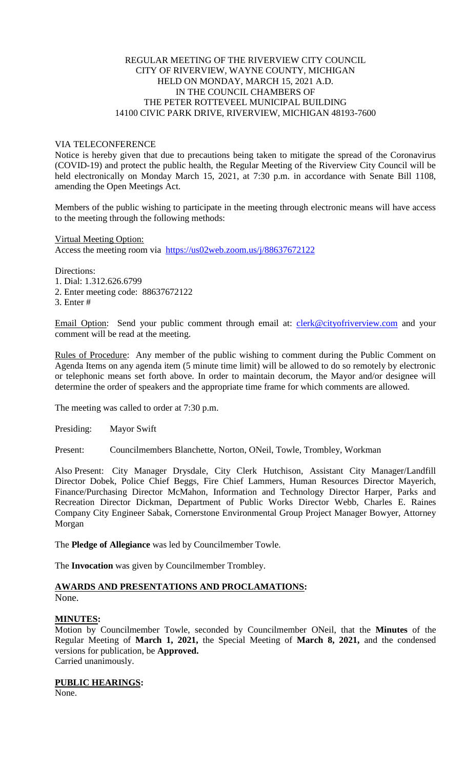## REGULAR MEETING OF THE RIVERVIEW CITY COUNCIL CITY OF RIVERVIEW, WAYNE COUNTY, MICHIGAN HELD ON MONDAY, MARCH 15, 2021 A.D. IN THE COUNCIL CHAMBERS OF THE PETER ROTTEVEEL MUNICIPAL BUILDING 14100 CIVIC PARK DRIVE, RIVERVIEW, MICHIGAN 48193-7600

## VIA TELECONFERENCE

Notice is hereby given that due to precautions being taken to mitigate the spread of the Coronavirus (COVID-19) and protect the public health, the Regular Meeting of the Riverview City Council will be held electronically on Monday March 15, 2021, at 7:30 p.m. in accordance with Senate Bill 1108, amending the Open Meetings Act.

Members of the public wishing to participate in the meeting through electronic means will have access to the meeting through the following methods:

Virtual Meeting Option: Access the meeting room via [https://us02web.zoom.us/j/88637672122](https://www.google.com/url?q=https%3A%2F%2Fus02web.zoom.us%2Fj%2F88637672122%3Fpwd%3DVTZ4ZjRBeXlNWlVXb2N5UDdScHVEUT09&sa=D&ust=1614459172176000&usg=AOvVaw0uN2TrJIn4BZdWupzJzmN4)

Directions: 1. Dial: 1.312.626.6799 2. Enter meeting code: 88637672122

3. Enter #

Email Option: Send your public comment through email at: [clerk@cityofriverview.com](mailto:clerk@cityofriverview.com) and your comment will be read at the meeting.

Rules of Procedure: Any member of the public wishing to comment during the Public Comment on Agenda Items on any agenda item (5 minute time limit) will be allowed to do so remotely by electronic or telephonic means set forth above. In order to maintain decorum, the Mayor and/or designee will determine the order of speakers and the appropriate time frame for which comments are allowed.

The meeting was called to order at 7:30 p.m.

Presiding: Mayor Swift

Present: Councilmembers Blanchette, Norton, ONeil, Towle, Trombley, Workman

Also Present: City Manager Drysdale, City Clerk Hutchison, Assistant City Manager/Landfill Director Dobek, Police Chief Beggs, Fire Chief Lammers, Human Resources Director Mayerich, Finance/Purchasing Director McMahon, Information and Technology Director Harper, Parks and Recreation Director Dickman, Department of Public Works Director Webb, Charles E. Raines Company City Engineer Sabak, Cornerstone Environmental Group Project Manager Bowyer, Attorney Morgan

The **Pledge of Allegiance** was led by Councilmember Towle.

The **Invocation** was given by Councilmember Trombley.

## **AWARDS AND PRESENTATIONS AND PROCLAMATIONS:** None.

## **MINUTES:**

Motion by Councilmember Towle, seconded by Councilmember ONeil, that the **Minutes** of the Regular Meeting of **March 1, 2021,** the Special Meeting of **March 8, 2021,** and the condensed versions for publication, be **Approved.** Carried unanimously.

# **PUBLIC HEARINGS:**

None.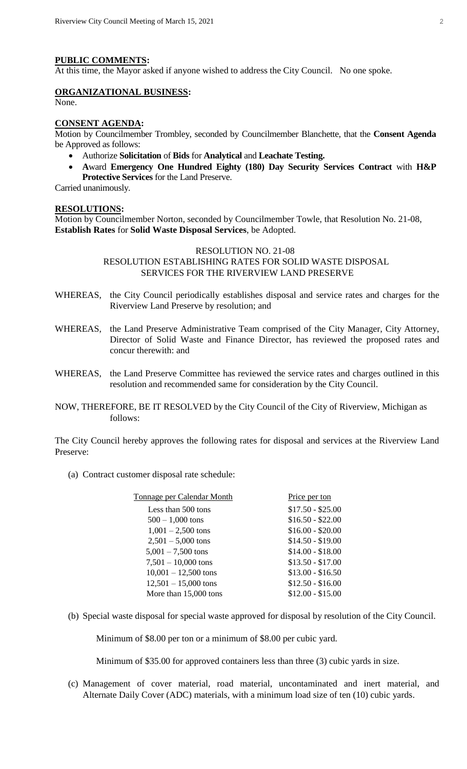#### **PUBLIC COMMENTS:**

At this time, the Mayor asked if anyone wished to address the City Council. No one spoke.

## **ORGANIZATIONAL BUSINESS:**

None.

#### **CONSENT AGENDA:**

Motion by Councilmember Trombley, seconded by Councilmember Blanchette, that the **Consent Agenda** be Approved as follows:

- Authorize **Solicitation** of **Bids** for **Analytical** and **Leachate Testing.**
- **A**ward **Emergency One Hundred Eighty (180) Day Security Services Contract** with **H&P Protective Services** for the Land Preserve.

Carried unanimously.

#### **RESOLUTIONS:**

Motion by Councilmember Norton, seconded by Councilmember Towle, that Resolution No. 21-08, **Establish Rates** for **Solid Waste Disposal Services**, be Adopted.

#### RESOLUTION NO. 21-08

# RESOLUTION ESTABLISHING RATES FOR SOLID WASTE DISPOSAL SERVICES FOR THE RIVERVIEW LAND PRESERVE

- WHEREAS, the City Council periodically establishes disposal and service rates and charges for the Riverview Land Preserve by resolution; and
- WHEREAS, the Land Preserve Administrative Team comprised of the City Manager, City Attorney, Director of Solid Waste and Finance Director, has reviewed the proposed rates and concur therewith: and
- WHEREAS, the Land Preserve Committee has reviewed the service rates and charges outlined in this resolution and recommended same for consideration by the City Council.
- NOW, THEREFORE, BE IT RESOLVED by the City Council of the City of Riverview, Michigan as follows:

The City Council hereby approves the following rates for disposal and services at the Riverview Land Preserve:

(a) Contract customer disposal rate schedule:

| Tonnage per Calendar Month | Price per ton     |
|----------------------------|-------------------|
| Less than 500 tons         | $$17.50 - $25.00$ |
| $500 - 1,000$ tons         | $$16.50 - $22.00$ |
| $1,001 - 2,500$ tons       | $$16.00 - $20.00$ |
| $2,501 - 5,000$ tons       | $$14.50 - $19.00$ |
| $5,001 - 7,500$ tons       | $$14.00 - $18.00$ |
| $7,501 - 10,000$ tons      | $$13.50 - $17.00$ |
| $10,001 - 12,500$ tons     | $$13.00 - $16.50$ |
| $12,501 - 15,000$ tons     | $$12.50 - $16.00$ |
| More than 15,000 tons      | $$12.00 - $15.00$ |

(b) Special waste disposal for special waste approved for disposal by resolution of the City Council.

Minimum of \$8.00 per ton or a minimum of \$8.00 per cubic yard.

Minimum of \$35.00 for approved containers less than three (3) cubic yards in size.

(c) Management of cover material, road material, uncontaminated and inert material, and Alternate Daily Cover (ADC) materials, with a minimum load size of ten (10) cubic yards.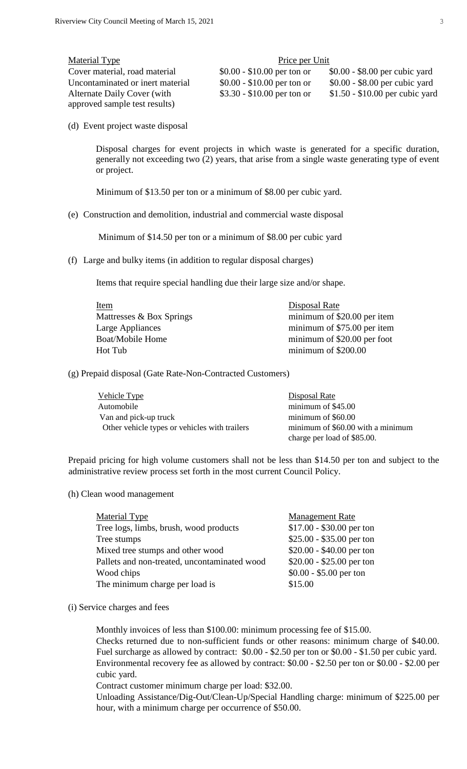| Material Type                    | Price per Unit              |                                 |  |
|----------------------------------|-----------------------------|---------------------------------|--|
| Cover material, road material    | $$0.00 - $10.00$ per ton or | $$0.00 - $8.00$ per cubic yard  |  |
| Uncontaminated or inert material | $$0.00 - $10.00$ per ton or | $$0.00 - $8.00$ per cubic yard  |  |
| Alternate Daily Cover (with      | $$3.30 - $10.00$ per ton or | $$1.50 - $10.00$ per cubic yard |  |
| approved sample test results)    |                             |                                 |  |

(d) Event project waste disposal

Disposal charges for event projects in which waste is generated for a specific duration, generally not exceeding two (2) years, that arise from a single waste generating type of event or project.

Minimum of \$13.50 per ton or a minimum of \$8.00 per cubic yard.

(e) Construction and demolition, industrial and commercial waste disposal

Minimum of \$14.50 per ton or a minimum of \$8.00 per cubic yard

(f) Large and bulky items (in addition to regular disposal charges)

Items that require special handling due their large size and/or shape.

| <u>Item</u>              | Disposal Rate               |
|--------------------------|-----------------------------|
| Mattresses & Box Springs | minimum of \$20.00 per item |
| Large Appliances         | minimum of \$75.00 per item |
| <b>Boat/Mobile Home</b>  | minimum of \$20.00 per foot |
| Hot Tub                  | minimum of \$200.00         |
|                          |                             |

(g) Prepaid disposal (Gate Rate-Non-Contracted Customers)

| Vehicle Type                                  | Disposal Rate                     |
|-----------------------------------------------|-----------------------------------|
| Automobile                                    | minimum of $$45.00$               |
| Van and pick-up truck                         | minimum of $$60.00$               |
| Other vehicle types or vehicles with trailers | minimum of \$60.00 with a minimum |
|                                               | charge per load of \$85.00.       |

Prepaid pricing for high volume customers shall not be less than \$14.50 per ton and subject to the administrative review process set forth in the most current Council Policy.

(h) Clean wood management

| Material Type                                | <b>Management Rate</b>    |
|----------------------------------------------|---------------------------|
| Tree logs, limbs, brush, wood products       | $$17.00 - $30.00$ per ton |
| Tree stumps                                  | $$25.00 - $35.00$ per ton |
| Mixed tree stumps and other wood             | $$20.00 - $40.00$ per ton |
| Pallets and non-treated, uncontaminated wood | $$20.00 - $25.00$ per ton |
| Wood chips                                   | $$0.00 - $5.00$ per ton   |
| The minimum charge per load is               | \$15.00                   |
|                                              |                           |

(i) Service charges and fees

Monthly invoices of less than \$100.00: minimum processing fee of \$15.00.

Checks returned due to non-sufficient funds or other reasons: minimum charge of \$40.00. Fuel surcharge as allowed by contract: \$0.00 - \$2.50 per ton or \$0.00 - \$1.50 per cubic yard. Environmental recovery fee as allowed by contract: \$0.00 - \$2.50 per ton or \$0.00 - \$2.00 per cubic yard.

Contract customer minimum charge per load: \$32.00.

Unloading Assistance/Dig-Out/Clean-Up/Special Handling charge: minimum of \$225.00 per hour, with a minimum charge per occurrence of \$50.00.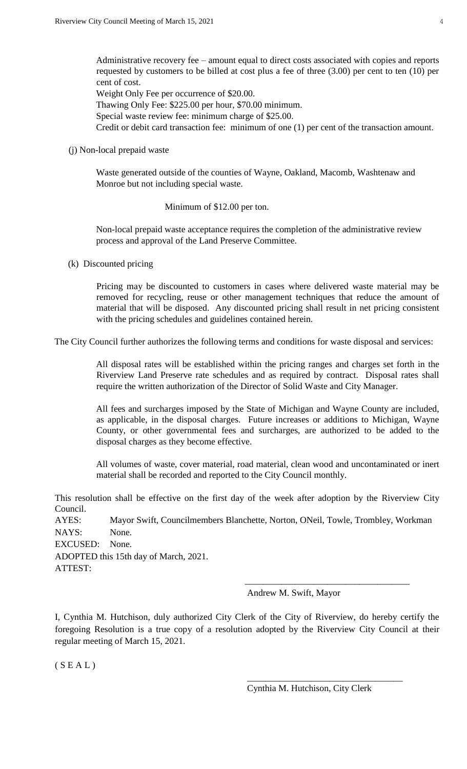Administrative recovery fee – amount equal to direct costs associated with copies and reports requested by customers to be billed at cost plus a fee of three (3.00) per cent to ten (10) per cent of cost.

Weight Only Fee per occurrence of \$20.00.

Thawing Only Fee: \$225.00 per hour, \$70.00 minimum.

Special waste review fee: minimum charge of \$25.00.

Credit or debit card transaction fee: minimum of one (1) per cent of the transaction amount.

(j) Non-local prepaid waste

Waste generated outside of the counties of Wayne, Oakland, Macomb, Washtenaw and Monroe but not including special waste.

## Minimum of \$12.00 per ton.

Non-local prepaid waste acceptance requires the completion of the administrative review process and approval of the Land Preserve Committee.

(k) Discounted pricing

Pricing may be discounted to customers in cases where delivered waste material may be removed for recycling, reuse or other management techniques that reduce the amount of material that will be disposed. Any discounted pricing shall result in net pricing consistent with the pricing schedules and guidelines contained herein.

The City Council further authorizes the following terms and conditions for waste disposal and services:

All disposal rates will be established within the pricing ranges and charges set forth in the Riverview Land Preserve rate schedules and as required by contract. Disposal rates shall require the written authorization of the Director of Solid Waste and City Manager.

All fees and surcharges imposed by the State of Michigan and Wayne County are included, as applicable, in the disposal charges. Future increases or additions to Michigan, Wayne County, or other governmental fees and surcharges, are authorized to be added to the disposal charges as they become effective.

All volumes of waste, cover material, road material, clean wood and uncontaminated or inert material shall be recorded and reported to the City Council monthly.

This resolution shall be effective on the first day of the week after adoption by the Riverview City Council. AYES: Mayor Swift, Councilmembers Blanchette, Norton, ONeil, Towle, Trombley, Workman NAYS: None.

EXCUSED: None.

ADOPTED this 15th day of March, 2021.

ATTEST:

Andrew M. Swift, Mayor

I, Cynthia M. Hutchison, duly authorized City Clerk of the City of Riverview, do hereby certify the foregoing Resolution is a true copy of a resolution adopted by the Riverview City Council at their regular meeting of March 15, 2021.

 $\overline{\phantom{a}}$  , and the contract of the contract of the contract of the contract of the contract of the contract of the contract of the contract of the contract of the contract of the contract of the contract of the contrac

 $(S E A L)$ 

Cynthia M. Hutchison, City Clerk

\_\_\_\_\_\_\_\_\_\_\_\_\_\_\_\_\_\_\_\_\_\_\_\_\_\_\_\_\_\_\_\_\_\_